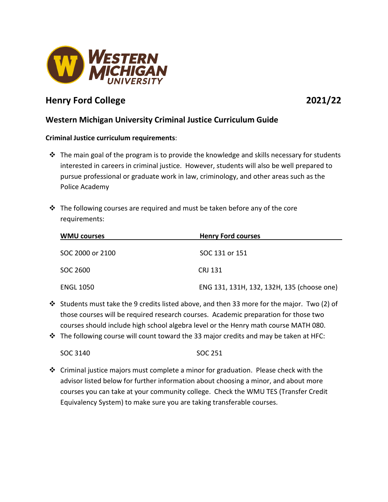

# **Henry Ford College 2021/22**

# **Western Michigan University Criminal Justice Curriculum Guide**

## **Criminal Justice curriculum requirements**:

- $\cdot \cdot$  The main goal of the program is to provide the knowledge and skills necessary for students interested in careers in criminal justice. However, students will also be well prepared to pursue professional or graduate work in law, criminology, and other areas such as the Police Academy
- $\cdot \cdot$  The following courses are required and must be taken before any of the core requirements:

| <b>WMU courses</b> | <b>Henry Ford courses</b>                  |
|--------------------|--------------------------------------------|
| SOC 2000 or 2100   | SOC 131 or 151                             |
| SOC 2600           | CRJ 131                                    |
| <b>ENGL 1050</b>   | ENG 131, 131H, 132, 132H, 135 (choose one) |

- Students must take the 9 credits listed above, and then 33 more for the major. Two (2) of those courses will be required research courses. Academic preparation for those two courses should include high school algebra level or the Henry math course MATH 080.
- $\cdot \cdot$  The following course will count toward the 33 major credits and may be taken at HFC:

SOC 3140 SOC 251

 $\cdot$  Criminal justice majors must complete a minor for graduation. Please check with the advisor listed below for further information about choosing a minor, and about more courses you can take at your community college. Check the WMU TES (Transfer Credit Equivalency System) to make sure you are taking transferable courses.